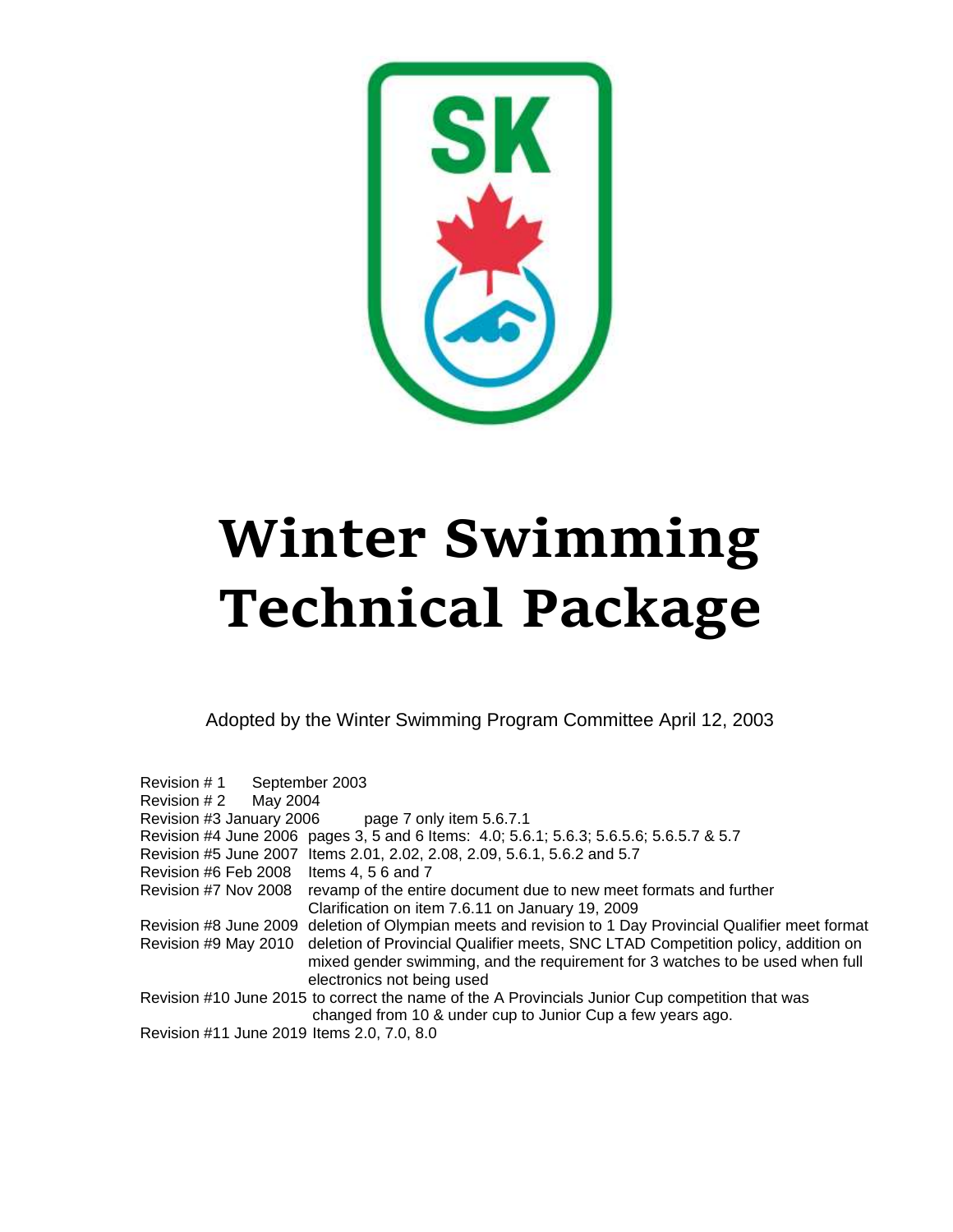

# **Winter Swimming Technical Package**

Adopted by the Winter Swimming Program Committee April 12, 2003

| Revision # 1                               | September 2003                                                                                  |
|--------------------------------------------|-------------------------------------------------------------------------------------------------|
| Revision # 2<br>May 2004                   |                                                                                                 |
| Revision #3 January 2006                   | page 7 only item 5.6.7.1                                                                        |
|                                            | Revision #4 June 2006 pages 3, 5 and 6 Items: 4.0; 5.6.1; 5.6.3; 5.6.5.6; 5.6.5.7 & 5.7         |
|                                            | Revision #5 June 2007 Items 2.01, 2.02, 2.08, 2.09, 5.6.1, 5.6.2 and 5.7                        |
| Revision #6 Feb 2008 Items 4, 5 6 and 7    |                                                                                                 |
| Revision #7 Nov 2008                       | revamp of the entire document due to new meet formats and further                               |
|                                            | Clarification on item 7.6.11 on January 19, 2009                                                |
| Revision #8 June 2009                      | deletion of Olympian meets and revision to 1 Day Provincial Qualifier meet format               |
| Revision #9 May 2010                       | deletion of Provincial Qualifier meets, SNC LTAD Competition policy, addition on                |
|                                            | mixed gender swimming, and the requirement for 3 watches to be used when full                   |
|                                            | electronics not being used                                                                      |
|                                            | Revision #10 June 2015 to correct the name of the A Provincials Junior Cup competition that was |
|                                            | changed from 10 & under cup to Junior Cup a few years ago.                                      |
| Revision #11 June 2019 Items 2.0, 7.0, 8.0 |                                                                                                 |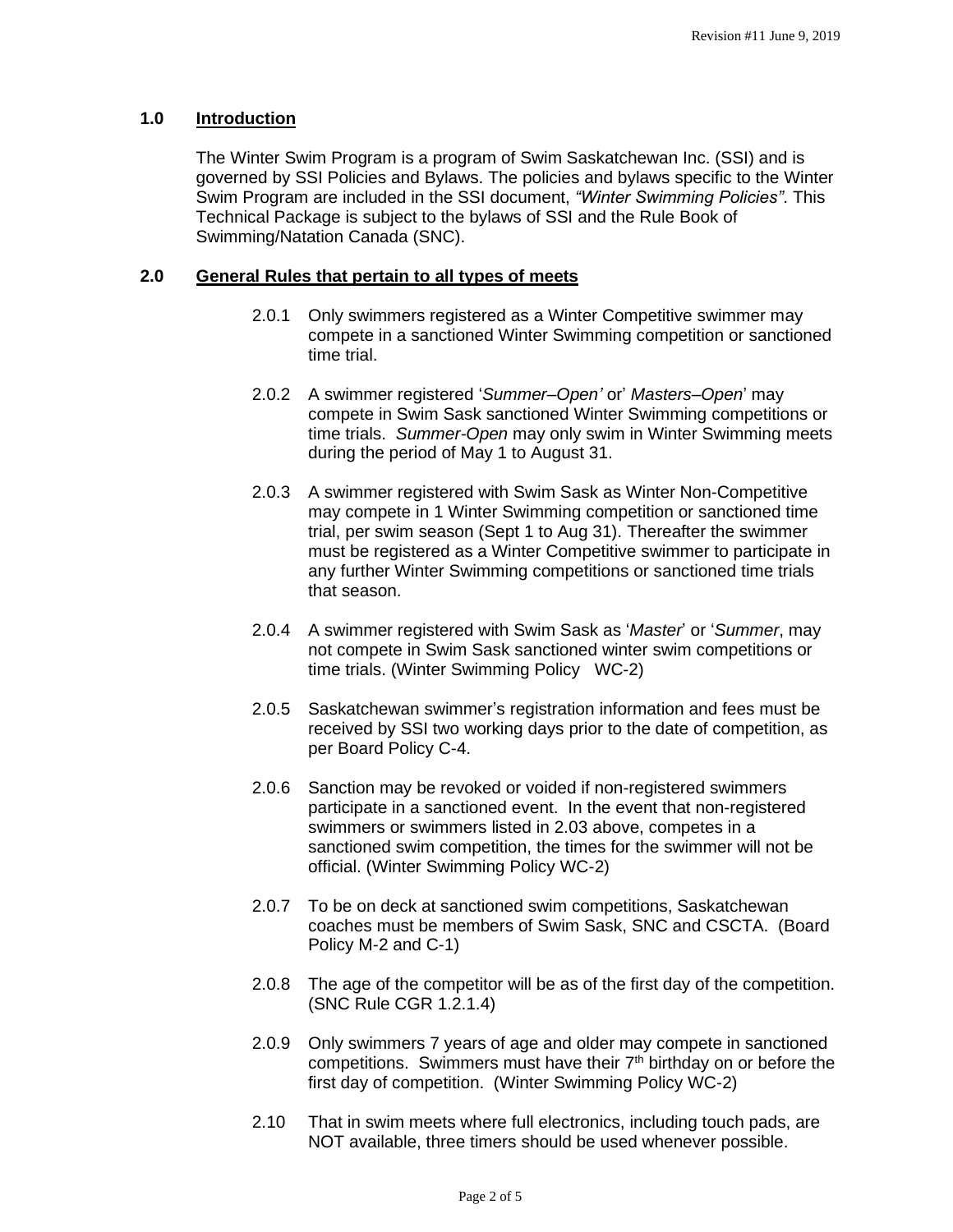# **1.0 Introduction**

The Winter Swim Program is a program of Swim Saskatchewan Inc. (SSI) and is governed by SSI Policies and Bylaws. The policies and bylaws specific to the Winter Swim Program are included in the SSI document, *"Winter Swimming Policies"*. This Technical Package is subject to the bylaws of SSI and the Rule Book of Swimming/Natation Canada (SNC).

#### **2.0 General Rules that pertain to all types of meets**

- 2.0.1 Only swimmers registered as a Winter Competitive swimmer may compete in a sanctioned Winter Swimming competition or sanctioned time trial.
- 2.0.2 A swimmer registered '*Summer–Open'* or' *Masters–Open*' may compete in Swim Sask sanctioned Winter Swimming competitions or time trials. *Summer-Open* may only swim in Winter Swimming meets during the period of May 1 to August 31.
- 2.0.3 A swimmer registered with Swim Sask as Winter Non-Competitive may compete in 1 Winter Swimming competition or sanctioned time trial, per swim season (Sept 1 to Aug 31). Thereafter the swimmer must be registered as a Winter Competitive swimmer to participate in any further Winter Swimming competitions or sanctioned time trials that season.
- 2.0.4 A swimmer registered with Swim Sask as '*Master*' or '*Summer*, may not compete in Swim Sask sanctioned winter swim competitions or time trials. (Winter Swimming Policy WC-2)
- 2.0.5 Saskatchewan swimmer's registration information and fees must be received by SSI two working days prior to the date of competition, as per Board Policy C-4.
- 2.0.6 Sanction may be revoked or voided if non-registered swimmers participate in a sanctioned event. In the event that non-registered swimmers or swimmers listed in 2.03 above, competes in a sanctioned swim competition, the times for the swimmer will not be official. (Winter Swimming Policy WC-2)
- 2.0.7 To be on deck at sanctioned swim competitions, Saskatchewan coaches must be members of Swim Sask, SNC and CSCTA. (Board Policy M-2 and C-1)
- 2.0.8 The age of the competitor will be as of the first day of the competition. (SNC Rule CGR 1.2.1.4)
- 2.0.9 Only swimmers 7 years of age and older may compete in sanctioned competitions. Swimmers must have their  $7<sup>th</sup>$  birthday on or before the first day of competition. (Winter Swimming Policy WC-2)
- 2.10 That in swim meets where full electronics, including touch pads, are NOT available, three timers should be used whenever possible.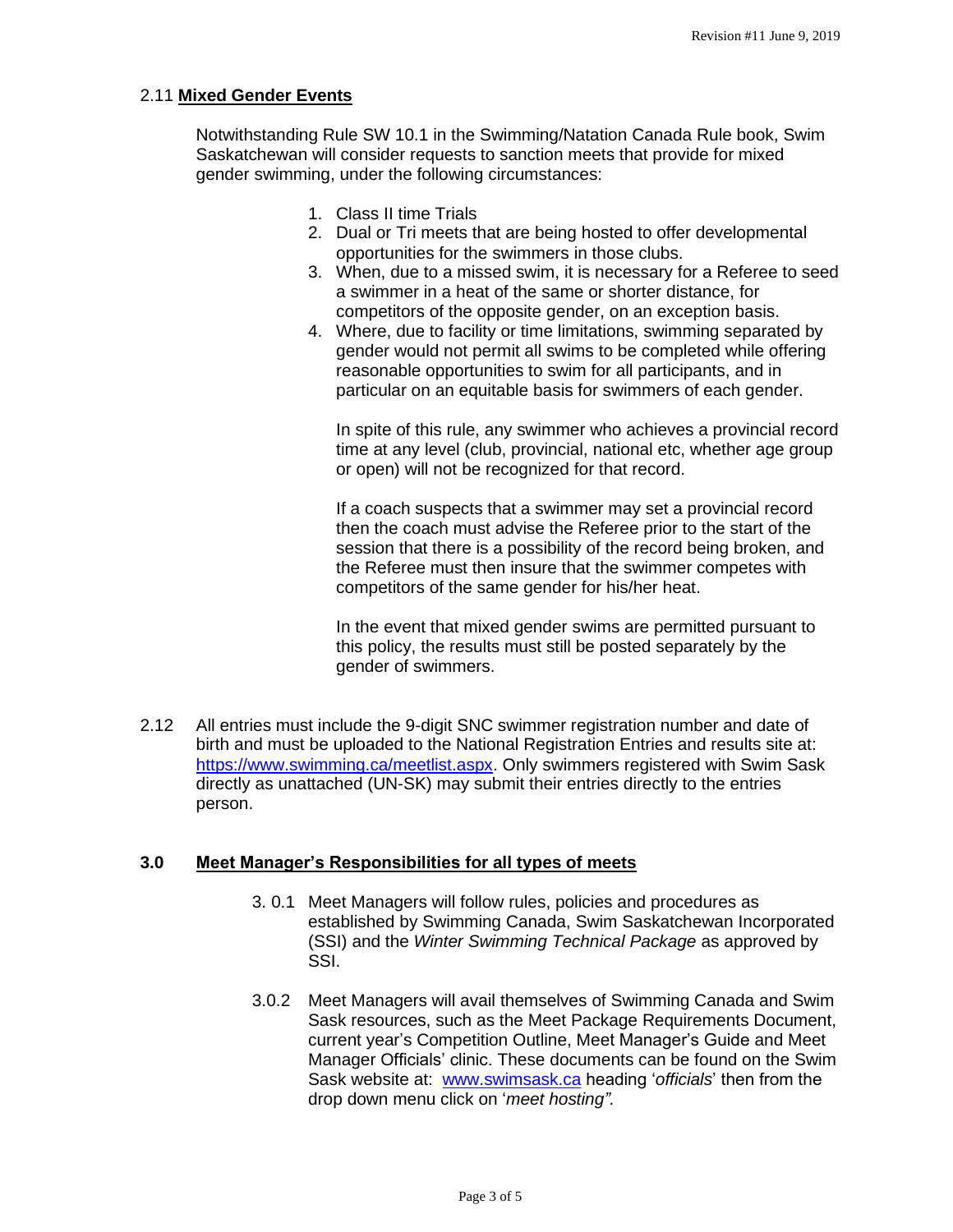#### 2.11 **Mixed Gender Events**

Notwithstanding Rule SW 10.1 in the Swimming/Natation Canada Rule book, Swim Saskatchewan will consider requests to sanction meets that provide for mixed gender swimming, under the following circumstances:

- 1. Class II time Trials
- 2. Dual or Tri meets that are being hosted to offer developmental opportunities for the swimmers in those clubs.
- 3. When, due to a missed swim, it is necessary for a Referee to seed a swimmer in a heat of the same or shorter distance, for competitors of the opposite gender, on an exception basis.
- 4. Where, due to facility or time limitations, swimming separated by gender would not permit all swims to be completed while offering reasonable opportunities to swim for all participants, and in particular on an equitable basis for swimmers of each gender.

In spite of this rule, any swimmer who achieves a provincial record time at any level (club, provincial, national etc, whether age group or open) will not be recognized for that record.

If a coach suspects that a swimmer may set a provincial record then the coach must advise the Referee prior to the start of the session that there is a possibility of the record being broken, and the Referee must then insure that the swimmer competes with competitors of the same gender for his/her heat.

In the event that mixed gender swims are permitted pursuant to this policy, the results must still be posted separately by the gender of swimmers.

2.12 All entries must include the 9-digit SNC swimmer registration number and date of birth and must be uploaded to the National Registration Entries and results site at: [https://www.swimming.ca/meetlist.aspx.](https://www.swimming.ca/meetlist.aspx) Only swimmers registered with Swim Sask directly as unattached (UN-SK) may submit their entries directly to the entries person.

#### **3.0 Meet Manager's Responsibilities for all types of meets**

- 3. 0.1 Meet Managers will follow rules, policies and procedures as established by Swimming Canada, Swim Saskatchewan Incorporated (SSI) and the *Winter Swimming Technical Package* as approved by SSI.
- 3.0.2 Meet Managers will avail themselves of Swimming Canada and Swim Sask resources, such as the Meet Package Requirements Document, current year's Competition Outline, Meet Manager's Guide and Meet Manager Officials' clinic. These documents can be found on the Swim Sask website at: [www.swimsask.ca](http://www.swimsask.ca/) heading '*officials*' then from the drop down menu click on '*meet hosting".*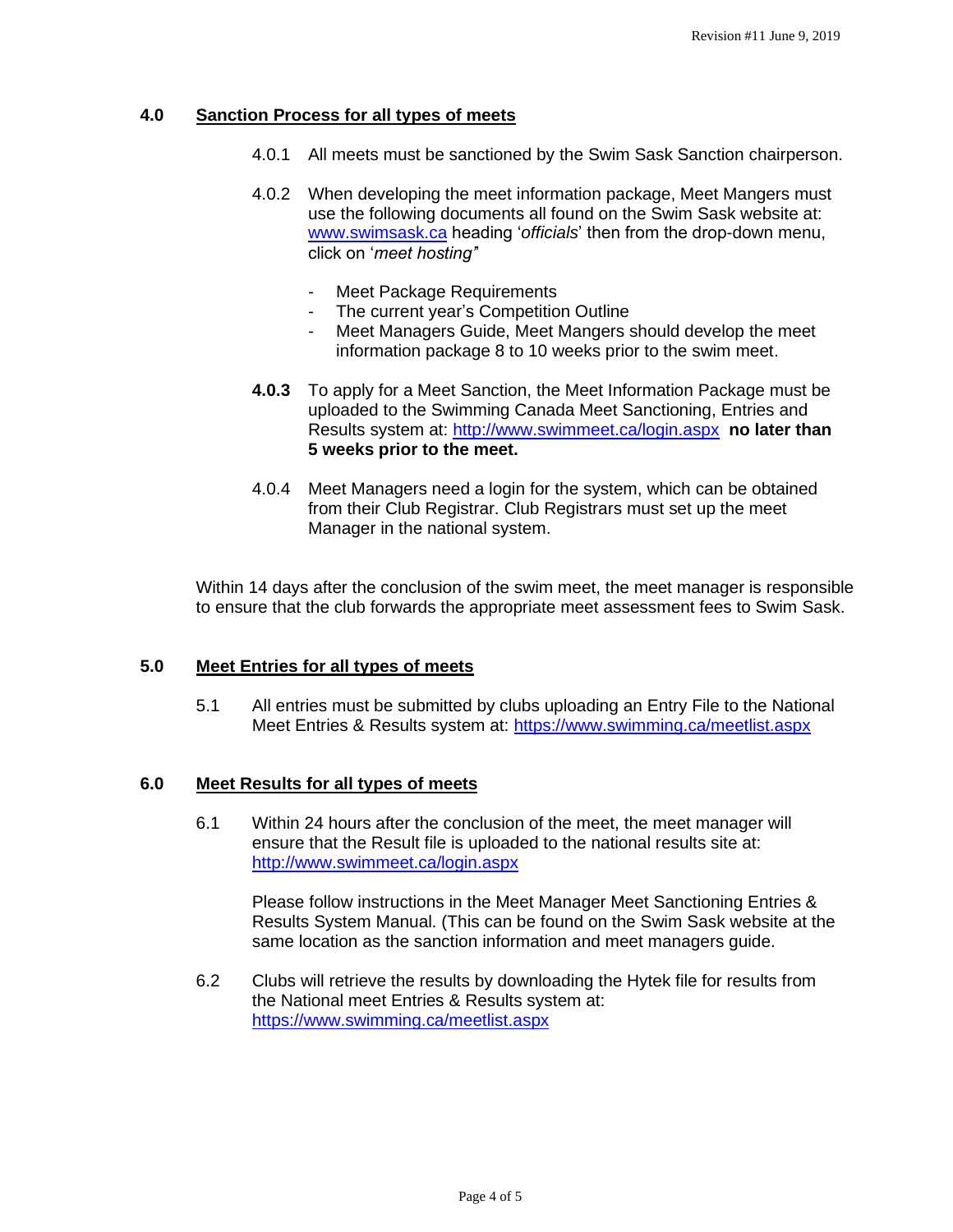# **4.0 Sanction Process for all types of meets**

- 4.0.1 All meets must be sanctioned by the Swim Sask Sanction chairperson.
- 4.0.2 When developing the meet information package, Meet Mangers must use the following documents all found on the Swim Sask website at: [www.swimsask.ca](http://www.swimsask.ca/) heading '*officials*' then from the drop-down menu, click on '*meet hosting'*'
	- Meet Package Requirements
	- The current year's Competition Outline
	- Meet Managers Guide, Meet Mangers should develop the meet information package 8 to 10 weeks prior to the swim meet.
- **4.0.3** To apply for a Meet Sanction, the Meet Information Package must be uploaded to the Swimming Canada Meet Sanctioning, Entries and Results system at:<http://www.swimmeet.ca/login.aspx> **no later than 5 weeks prior to the meet.**
- 4.0.4 Meet Managers need a login for the system, which can be obtained from their Club Registrar. Club Registrars must set up the meet Manager in the national system.

Within 14 days after the conclusion of the swim meet, the meet manager is responsible to ensure that the club forwards the appropriate meet assessment fees to Swim Sask.

#### **5.0 Meet Entries for all types of meets**

5.1 All entries must be submitted by clubs uploading an Entry File to the National Meet Entries & Results system at: <https://www.swimming.ca/meetlist.aspx>

#### **6.0 Meet Results for all types of meets**

6.1 Within 24 hours after the conclusion of the meet, the meet manager will ensure that the Result file is uploaded to the national results site at: <http://www.swimmeet.ca/login.aspx>

Please follow instructions in the Meet Manager Meet Sanctioning Entries & Results System Manual. (This can be found on the Swim Sask website at the same location as the sanction information and meet managers guide.

6.2 Clubs will retrieve the results by downloading the Hytek file for results from the National meet Entries & Results system at: <https://www.swimming.ca/meetlist.aspx>